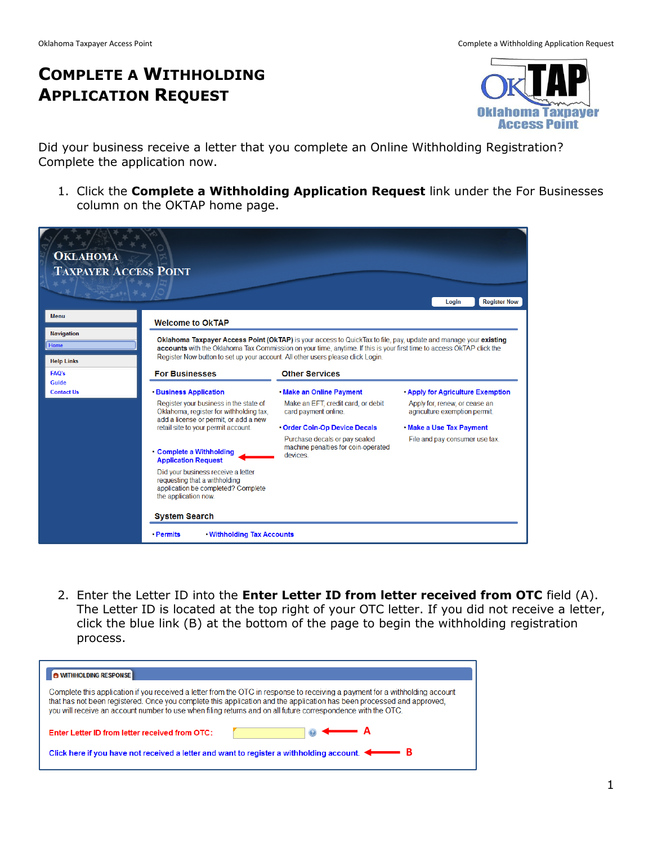# **COMPLETE A WITHHOLDING APPLICATION REQUEST**



Did your business receive a letter that you complete an Online Withholding Registration? Complete the application now.

1. Click the **Complete a Withholding Application Request** link under the For Businesses column on the OKTAP home page.

| <b>OKLAHOMA</b><br><b>TAXPAYER ACCESS POINT</b> |                                                                                                                                   |                                                                                                                                                                                                                                          | <b>Register Now</b><br>Login                                   |
|-------------------------------------------------|-----------------------------------------------------------------------------------------------------------------------------------|------------------------------------------------------------------------------------------------------------------------------------------------------------------------------------------------------------------------------------------|----------------------------------------------------------------|
| <b>Menu</b>                                     | <b>Welcome to OkTAP</b>                                                                                                           |                                                                                                                                                                                                                                          |                                                                |
| <b>Navigation</b><br>Home<br><b>Help Links</b>  | Register Now button to set up your account. All other users please click Login.                                                   | Oklahoma Taxpayer Access Point (OkTAP) is your access to QuickTax to file, pay, update and manage your existing<br>accounts with the Oklahoma Tax Commission on your time, anytime. If this is your first time to access OkTAP click the |                                                                |
| <b>FAQ's</b>                                    | <b>For Businesses</b>                                                                                                             | <b>Other Services</b>                                                                                                                                                                                                                    |                                                                |
| Guide<br><b>Contact Us</b>                      | <b>· Business Application</b>                                                                                                     | . Make an Online Payment                                                                                                                                                                                                                 | <b>. Apply for Agriculture Exemption</b>                       |
|                                                 | Register your business in the state of<br>Oklahoma, register for withholding tax,<br>add a license or permit, or add a new        | Make an EFT, credit card, or debit<br>card payment online.                                                                                                                                                                               | Apply for, renew, or cease an<br>agriculture exemption permit. |
|                                                 | retail site to your permit account.                                                                                               | Order Coin-Op Device Decals                                                                                                                                                                                                              | . Make a Use Tax Payment                                       |
|                                                 | • Complete a Withholding<br><b>Application Request</b>                                                                            | Purchase decals or pay sealed<br>machine penalties for coin-operated<br><b>devices</b>                                                                                                                                                   | File and pay consumer use tax.                                 |
|                                                 | Did your business receive a letter<br>requesting that a withholding<br>application be completed? Complete<br>the application now. |                                                                                                                                                                                                                                          |                                                                |
|                                                 | <b>System Search</b>                                                                                                              |                                                                                                                                                                                                                                          |                                                                |
|                                                 | . Withholding Tax Accounts<br>• Permits                                                                                           |                                                                                                                                                                                                                                          |                                                                |

2. Enter the Letter ID into the **Enter Letter ID from letter received from OTC** field (A). The Letter ID is located at the top right of your OTC letter. If you did not receive a letter, click the blue link (B) at the bottom of the page to begin the withholding registration process.

| <b>O WITHHOLDING RESPONSE</b>                                                                                                                                                                                                                                                                                                                                         |
|-----------------------------------------------------------------------------------------------------------------------------------------------------------------------------------------------------------------------------------------------------------------------------------------------------------------------------------------------------------------------|
| Complete this application if you received a letter from the OTC in response to receiving a payment for a withholding account<br>that has not been registered. Once you complete this application and the application has been processed and approved.<br>you will receive an account number to use when filing returns and on all future correspondence with the OTC. |
| $\circ$ $\leftarrow$ A<br>Enter Letter ID from letter received from OTC:                                                                                                                                                                                                                                                                                              |
| Click here if you have not received a letter and want to register a withholding account. $\blacktriangleleft$                                                                                                                                                                                                                                                         |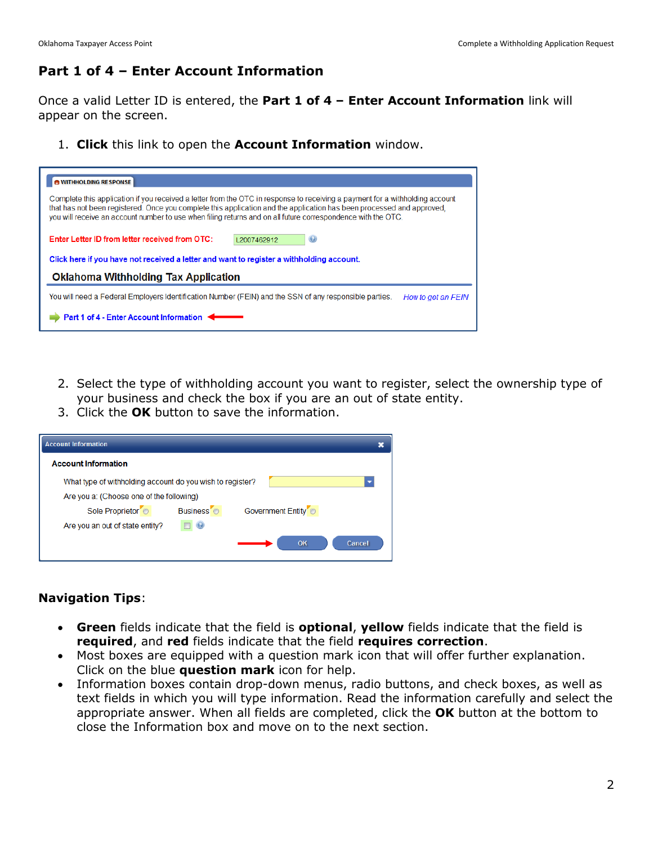### **Part 1 of 4 – Enter Account Information**

Once a valid Letter ID is entered, the **Part 1 of 4 – Enter Account Information** link will appear on the screen.

1. **Click** this link to open the **Account Information** window.

| <b>WITHHOLDING RESPONSE</b>                                                                                                                                                                                                                                                                                                                                           |  |  |
|-----------------------------------------------------------------------------------------------------------------------------------------------------------------------------------------------------------------------------------------------------------------------------------------------------------------------------------------------------------------------|--|--|
| Complete this application if you received a letter from the OTC in response to receiving a payment for a withholding account<br>that has not been registered. Once you complete this application and the application has been processed and approved,<br>you will receive an account number to use when filing returns and on all future correspondence with the OTC. |  |  |
| Enter Letter ID from letter received from OTC:<br>$\odot$<br>12007462912                                                                                                                                                                                                                                                                                              |  |  |
| Click here if you have not received a letter and want to register a withholding account.                                                                                                                                                                                                                                                                              |  |  |
| <b>Oklahoma Withholding Tax Application</b>                                                                                                                                                                                                                                                                                                                           |  |  |
| You will need a Federal Employers Identification Number (FEIN) and the SSN of any responsible parties.<br>How to get an FEIN                                                                                                                                                                                                                                          |  |  |
| Part 1 of 4 - Enter Account Information                                                                                                                                                                                                                                                                                                                               |  |  |

- 2. Select the type of withholding account you want to register, select the ownership type of your business and check the box if you are an out of state entity.
- 3. Click the **OK** button to save the information.

| <b>Account Information</b>                                |                       |                                |  |
|-----------------------------------------------------------|-----------------------|--------------------------------|--|
| <b>Account Information</b>                                |                       |                                |  |
| What type of withholding account do you wish to register? |                       |                                |  |
| Are you a: (Choose one of the following)                  |                       |                                |  |
| Sole Proprietor <sup>6</sup>                              | Business <sup>o</sup> | Government Entity <sup>o</sup> |  |
| Are you an out of state entity?                           |                       |                                |  |
|                                                           |                       | OK<br>Cancel                   |  |

#### **Navigation Tips**:

- **Green** fields indicate that the field is **optional**, **yellow** fields indicate that the field is **required**, and **red** fields indicate that the field **requires correction**.
- Most boxes are equipped with a question mark icon that will offer further explanation. Click on the blue **question mark** icon for help.
- Information boxes contain drop-down menus, radio buttons, and check boxes, as well as text fields in which you will type information. Read the information carefully and select the appropriate answer. When all fields are completed, click the **OK** button at the bottom to close the Information box and move on to the next section.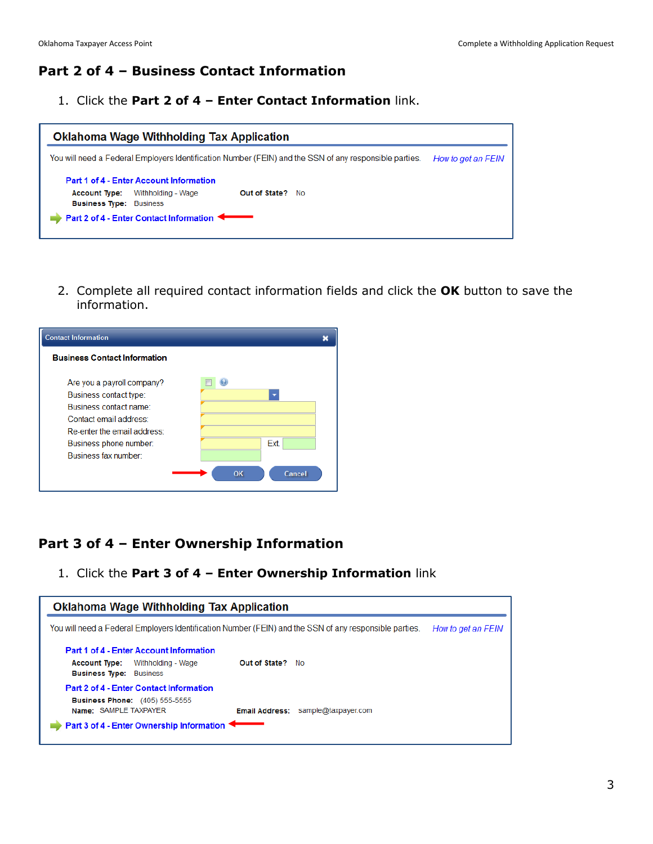## **Part 2 of 4 – Business Contact Information**

1. Click the **Part 2 of 4 – Enter Contact Information** link.

|                                                        | <b>Oklahoma Wage Withholding Tax Application</b> |                                                                                                        |                    |
|--------------------------------------------------------|--------------------------------------------------|--------------------------------------------------------------------------------------------------------|--------------------|
|                                                        |                                                  | You will need a Federal Employers Identification Number (FEIN) and the SSN of any responsible parties. | How to get an FEIN |
|                                                        | Part 1 of 4 - Enter Account Information          |                                                                                                        |                    |
| <b>Account Type:</b><br><b>Business Type: Business</b> | Withholding - Wage                               | Out of State? No                                                                                       |                    |
|                                                        | <b>Part 2 of 4 - Enter Contact Information</b>   |                                                                                                        |                    |

2. Complete all required contact information fields and click the **OK** button to save the information.

| <b>Contact Information</b>                                                                                                                                                                |                      |
|-------------------------------------------------------------------------------------------------------------------------------------------------------------------------------------------|----------------------|
| <b>Business Contact Information</b>                                                                                                                                                       |                      |
| Are you a payroll company?<br>Business contact type:<br>Business contact name:<br>Contact email address:<br>Re-enter the email address:<br>Business phone number:<br>Business fax number: | Ext.<br>OK<br>Cancel |

#### **Part 3 of 4 – Enter Ownership Information**

1. Click the **Part 3 of 4 – Enter Ownership Information** link

| Oklahoma Wage Withholding Tax Application                                                                                                              |                         |                     |  |
|--------------------------------------------------------------------------------------------------------------------------------------------------------|-------------------------|---------------------|--|
| You will need a Federal Employers Identification Number (FEIN) and the SSN of any responsible parties.<br>How to get an FEIN                           |                         |                     |  |
| Part 1 of 4 - Enter Account Information<br>Withholding - Wage<br><b>Account Type:</b><br><b>Business Type: Business</b>                                | <b>Out of State?</b> No |                     |  |
| Part 2 of 4 - Enter Contact Information<br><b>Business Phone:</b> (405) 555-5555<br>Name: SAMPLE TAXPAYER<br>Part 3 of 4 - Enter Ownership Information | <b>Email Address:</b>   | sample@taxpayer.com |  |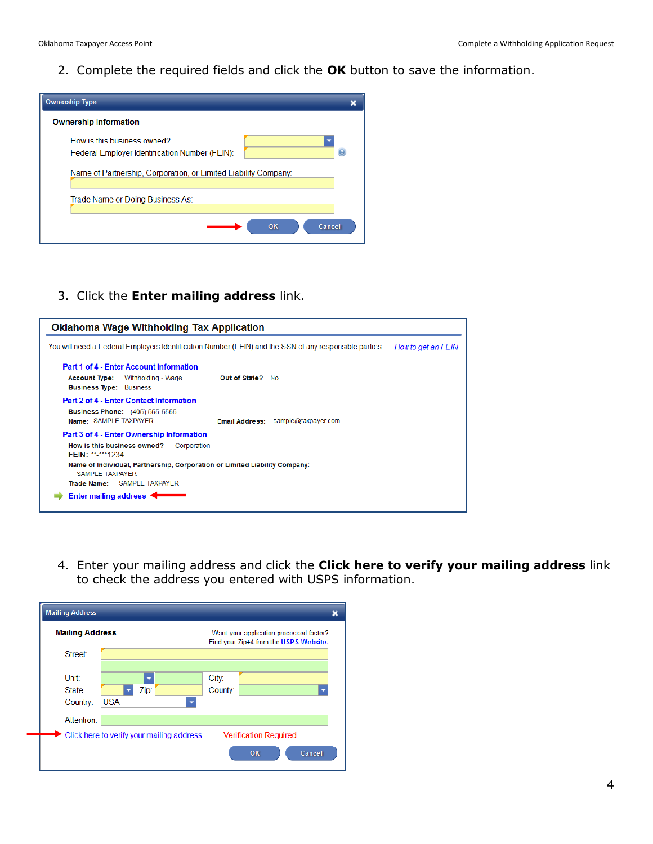2. Complete the required fields and click the **OK** button to save the information.



3. Click the **Enter mailing address** link.



4. Enter your mailing address and click the **Click here to verify your mailing address** link to check the address you entered with USPS information.

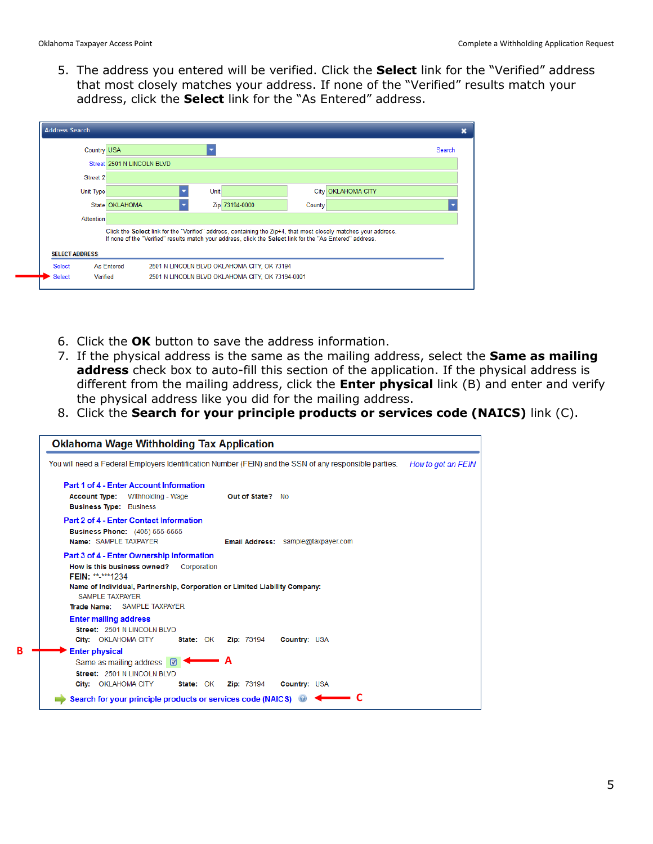5. The address you entered will be verified. Click the **Select** link for the "Verified" address that most closely matches your address. If none of the "Verified" results match your address, click the **Select** link for the "As Entered" address.



- 6. Click the **OK** button to save the address information.
- 7. If the physical address is the same as the mailing address, select the **Same as mailing address** check box to auto-fill this section of the application. If the physical address is different from the mailing address, click the **Enter physical** link (B) and enter and verify the physical address like you did for the mailing address.
- 8. Click the **Search for your principle products or services code (NAICS)** link (C).

|   | <b>Oklahoma Wage Withholding Tax Application</b>                                                                                    |                  |                                    |                     |                    |
|---|-------------------------------------------------------------------------------------------------------------------------------------|------------------|------------------------------------|---------------------|--------------------|
|   | You will need a Federal Employers Identification Number (FEIN) and the SSN of any responsible parties.                              |                  |                                    |                     | How to get an FEIN |
|   | Part 1 of 4 - Enter Account Information<br><b>Account Type:</b> Withholding - Wage<br><b>Business Type: Business</b>                |                  | Out of State? No                   |                     |                    |
|   | Part 2 of 4 - Enter Contact Information<br><b>Business Phone:</b> (405) 555-5555<br>Name: SAMPLE TAXPAYER                           |                  | Email Address: sample@taxpayer.com |                     |                    |
|   | Part 3 of 4 - Enter Ownership Information<br>How is this business owned? Corporation<br>FEIN: ** <sub>-</sub> ****1234              |                  |                                    |                     |                    |
|   | Name of Individual, Partnership, Corporation or Limited Liability Company:<br><b>SAMPLE TAXPAYER</b><br>Trade Name: SAMPLE TAXPAYER |                  |                                    |                     |                    |
|   | <b>Enter mailing address</b>                                                                                                        |                  |                                    |                     |                    |
|   | Street: 2501 N LINCOLN BLVD<br><b>City:</b> OKLAHOMA CITY                                                                           | <b>State: OK</b> | <b>Zip: 73194</b>                  | <b>Country: USA</b> |                    |
| B | <b>Enter physical</b>                                                                                                               |                  |                                    |                     |                    |
|   | Same as mailing address $\boxed{\heartsuit}$                                                                                        |                  | A                                  |                     |                    |
|   | Street: 2501 N LINCOLN BLVD<br>City: OKLAHOMA CITY                                                                                  | <b>State: OK</b> | <b>Zip: 73194</b>                  | <b>Country: USA</b> |                    |
|   | Search for your principle products or services code (NAICS) @                                                                       |                  |                                    |                     |                    |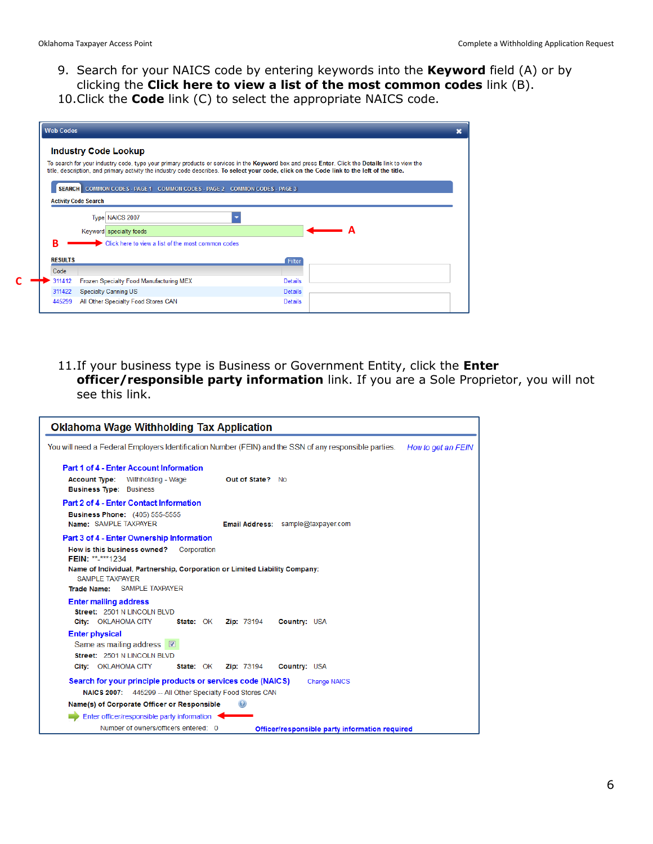- 9. Search for your NAICS code by entering keywords into the **Keyword** field (A) or by clicking the **Click here to view a list of the most common codes** link (B).
- 10.Click the **Code** link (C) to select the appropriate NAICS code.

|                | <b>Industry Code Lookup</b>                                              |                                                                                                                                                 |
|----------------|--------------------------------------------------------------------------|-------------------------------------------------------------------------------------------------------------------------------------------------|
|                |                                                                          | To search for your industry code, type your primary products or services in the Keyword box and press Enter. Click the Details link to view the |
|                |                                                                          | title, description, and primary activity the industry code describes. To select your code, click on the Code link to the left of the title.     |
|                | SEARCH COMMON CODES - PAGE 1 COMMON CODES - PAGE 2 COMMON CODES - PAGE 3 |                                                                                                                                                 |
|                | <b>Activity Code Search</b>                                              |                                                                                                                                                 |
|                |                                                                          |                                                                                                                                                 |
|                | Type NAICS 2007                                                          |                                                                                                                                                 |
|                | Keyword specialty foods                                                  | А                                                                                                                                               |
| B              | Click here to view a list of the most common codes                       |                                                                                                                                                 |
|                |                                                                          |                                                                                                                                                 |
| <b>RESULTS</b> |                                                                          | Filter                                                                                                                                          |
| Code           |                                                                          |                                                                                                                                                 |
| 311412         | Frozen Specialty Food Manufacturing MEX                                  | <b>Details</b>                                                                                                                                  |
| 311422         | <b>Specialty Canning US</b>                                              | <b>Details</b>                                                                                                                                  |
| 445299         | All Other Specialty Food Stores CAN                                      | <b>Details</b>                                                                                                                                  |

11.If your business type is Business or Government Entity, click the **Enter officer/responsible party information** link. If you are a Sole Proprietor, you will not see this link.

| <b>Oklahoma Wage Withholding Tax Application</b>                                                                                                                                                                                             |
|----------------------------------------------------------------------------------------------------------------------------------------------------------------------------------------------------------------------------------------------|
| You will need a Federal Employers Identification Number (FEIN) and the SSN of any responsible parties.<br>How to get an FEIN                                                                                                                 |
| Part 1 of 4 - Enter Account Information<br><b>Account Type:</b> Withholding - Wage<br>Out of State? No<br><b>Business Type: Business</b>                                                                                                     |
| Part 2 of 4 - Enter Contact Information<br><b>Business Phone:</b> (405) 555-5555<br>Name: SAMPLE TAXPAYER<br>Email Address: sample@taxpayer.com                                                                                              |
| Part 3 of 4 - Enter Ownership Information<br>How is this business owned?<br>Corporation<br>FEIN: **-****1234<br>Name of Individual, Partnership, Corporation or Limited Liability Company:<br>SAMPLE TAXPAYER<br>Trade Name: SAMPLE TAXPAYER |
| <b>Enter mailing address</b><br>Street: 2501 N LINCOLN BLVD<br>City: OKLAHOMA CITY<br><b>Zip: 73194</b><br>Country: USA<br><b>State: OK</b>                                                                                                  |
| <b>Enter physical</b><br>Same as mailing address $\Box$<br>Street: 2501 N LINCOLN BLVD<br>City: OKLAHOMA CITY<br>State: OK<br><b>Zip: 73194</b><br>Country: USA                                                                              |
| Search for your principle products or services code (NAICS)<br><b>Change NAICS</b><br>NAICS 2007: 445299 -- All Other Specialty Food Stores CAN                                                                                              |
| Name(s) of Corporate Officer or Responsible                                                                                                                                                                                                  |
| Enter officer/responsible party information<br>Number of owners/officers entered: 0<br>Officer/responsible party information required                                                                                                        |
|                                                                                                                                                                                                                                              |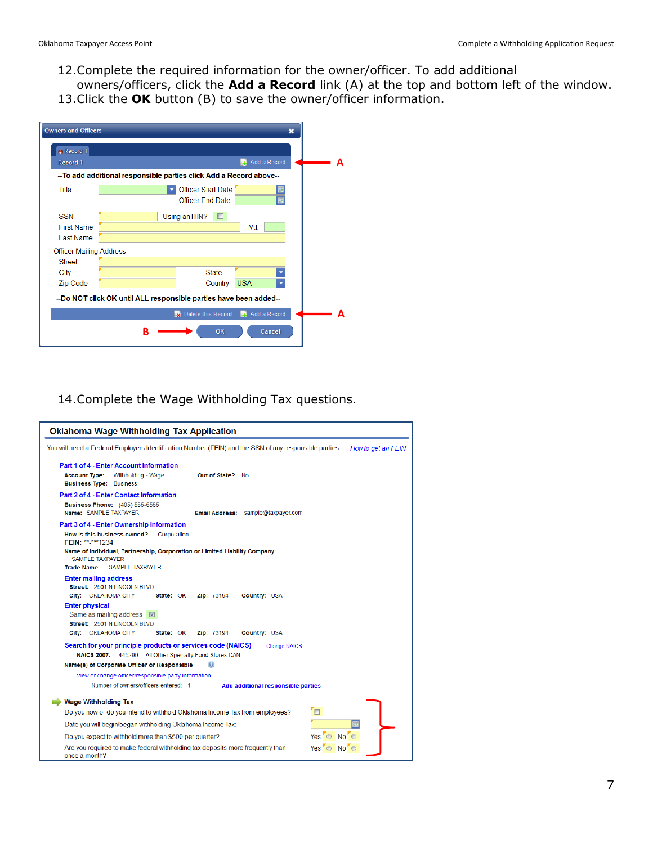- 12.Complete the required information for the owner/officer. To add additional
- owners/officers, click the **Add a Record** link (A) at the top and bottom left of the window. 13.Click the **OK** button (B) to save the owner/officer information.

| <b>Owners and Officers</b>     | ×                                                                   |  |
|--------------------------------|---------------------------------------------------------------------|--|
| Record 1                       |                                                                     |  |
| Record 1                       | Add a Record<br>E.                                                  |  |
|                                | -- To add additional responsible parties click Add a Record above-- |  |
| <b>Title</b>                   | <b>Officer Start Date</b>                                           |  |
|                                | <b>Officer End Date</b><br>FO                                       |  |
| <b>SSN</b>                     | Using an ITIN?<br>$\Box$                                            |  |
| <b>First Name</b>              | M.I.                                                                |  |
| <b>Last Name</b>               |                                                                     |  |
| <b>Officer Mailing Address</b> |                                                                     |  |
| <b>Street</b>                  |                                                                     |  |
| City                           | <b>State</b>                                                        |  |
| <b>Zip Code</b>                | <b>USA</b><br>Country                                               |  |
|                                | --Do NOT click OK until ALL responsible parties have been added--   |  |
|                                | Delete this Record<br>Add a Record                                  |  |
|                                | OK<br>Cancel<br>в                                                   |  |

#### 14.Complete the Wage Withholding Tax questions.

| <b>Oklahoma Wage Withholding Tax Application</b>                                                                                                                                  |
|-----------------------------------------------------------------------------------------------------------------------------------------------------------------------------------|
| You will need a Federal Employers Identification Number (FEIN) and the SSN of any responsible parties.<br>How to get an FEIN                                                      |
| Part 1 of 4 - Enter Account Information<br><b>Account Type:</b><br>Withholding - Wage<br>Out of State? No<br><b>Business Type: Business</b>                                       |
| Part 2 of 4 - Enter Contact Information<br><b>Business Phone:</b> (405) 555-5555<br>Name: SAMPLE TAXPAYER<br><b>Email Address:</b> sample@taxpayer.com                            |
| Part 3 of 4 - Enter Ownership Information<br>How is this business owned?<br>Corporation<br>FEIN: **-***1234                                                                       |
| Name of Individual, Partnership, Corporation or Limited Liability Company:<br><b>SAMPLE TAXPAYER</b><br>Trade Name: SAMPLE TAXPAYER                                               |
| <b>Enter mailing address</b><br>Street: 2501 N LINCOLN BLVD<br>City: OKLAHOMA CITY<br>Country: USA<br>State: OK<br><b>Zip: 73194</b>                                              |
| <b>Enter physical</b><br>Same as mailing address $\boxed{\heartsuit}$<br>Street: 2501 N LINCOLN BLVD<br>City: OKLAHOMA CITY<br>State: OK<br>Zip: 73194<br>Country: USA            |
| Search for your principle products or services code (NAICS)<br><b>Change NAICS</b><br>NAICS 2007: 445299 -- All Other Specialty Food Stores CAN                                   |
| Name(s) of Corporate Officer or Responsible<br>View or change officer/responsible party information<br>Number of owners/officers entered: 1<br>Add additional responsible parties |
| <b>Wage Withholding Tax</b>                                                                                                                                                       |
| F<br>Do you now or do you intend to withhold Oklahoma Income Tax from employees?<br>Date you will begin/began withholding Oklahoma Income Tax:                                    |
| Yes O No O<br>Do you expect to withhold more than \$500 per quarter?                                                                                                              |
| Are you required to make federal withholding tax deposits more frequently than<br>Yes O No O<br>once a month?                                                                     |